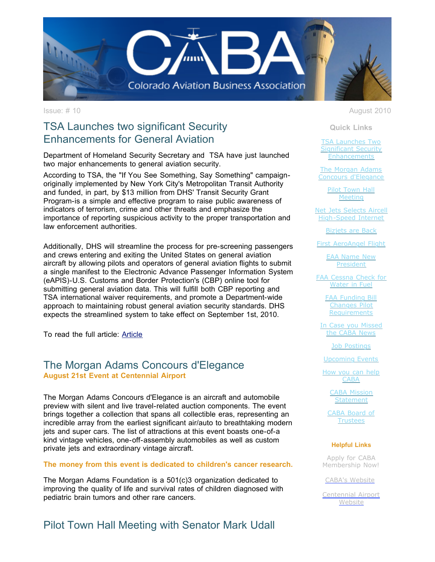

# TSA Launches two significant Security Enhancements for General Aviation

Department of Homeland Security Secretary and TSA have just launched two major enhancements to general aviation security.

According to TSA, the "If You See Something, Say Something" campaignoriginally implemented by New York City's Metropolitan Transit Authority and funded, in part, by \$13 million from DHS' Transit Security Grant Program-is a simple and effective program to raise public awareness of indicators of terrorism, crime and other threats and emphasize the importance of reporting suspicious activity to the proper transportation and law enforcement authorities.

Additionally, DHS will streamline the process for pre-screening passengers and crews entering and exiting the United States on general aviation aircraft by allowing pilots and operators of general aviation flights to submit a single manifest to the Electronic Advance Passenger Information System (eAPIS)-U.S. Customs and Border Protection's (CBP) online tool for submitting general aviation data. This will fulfill both CBP reporting and TSA international waiver requirements, and promote a Department-wide approach to maintaining robust general aviation security standards. DHS expects the streamlined system to take effect on September 1st, 2010.

To read the full article: [Article](http://r20.rs6.net/tn.jsp?llr=tkebgpcab&et=1103515475844&s=0&e=001Ynfa00Q4omqDSsfdz1XI8ac3OrhwyYZIgWHELXS6GchJeIWCLH9blB2vHf3v0AU3nwfCD_DPsoTv8IMBiUzOxU-IFFQBaJa1HUUpmwJQgtUZDyswwPTeN8_db3Fd0jQxJNkbgjfBOL7O7otDW76t1GA9EyAtJSxl)

## The Morgan Adams Concours d'Elegance **August 21st Event at Centennial Airport**

The Morgan Adams Concours d'Elegance is an aircraft and automobile preview with silent and live travel-related auction components. The event brings together a collection that spans all collectible eras, representing an incredible array from the earliest significant air/auto to breathtaking modern jets and super cars. The list of attractions at this event boasts one-of-a kind vintage vehicles, one-off-assembly automobiles as well as custom private jets and extraordinary vintage aircraft.

#### **The money from this event is dedicated to children's cancer research.**

The Morgan Adams Foundation is a 501(c)3 organization dedicated to improving the quality of life and survival rates of children diagnosed with pediatric brain tumors and other rare cancers.

Pilot Town Hall Meeting with Senator Mark Udall

Issue: # 10 August 2010

**Quick Links**

TSA Launches Two [Significant Security](https://ui.constantcontact.com/visualeditor/visual_editor_preview.jsp?agent.uid=1103515475844&format=html&printFrame=true#LETTER.BLOCK55) **Enhancements** 

The Morgan Adams [Concours d'Elegance](https://ui.constantcontact.com/visualeditor/visual_editor_preview.jsp?agent.uid=1103515475844&format=html&printFrame=true#LETTER.BLOCK58)

> [Pilot Town Hall](https://ui.constantcontact.com/visualeditor/visual_editor_preview.jsp?agent.uid=1103515475844&format=html&printFrame=true#LETTER.BLOCK62) **Meeting**

[Net Jets Selects Aircell](https://ui.constantcontact.com/visualeditor/visual_editor_preview.jsp?agent.uid=1103515475844&format=html&printFrame=true#LETTER.BLOCK43) High-Speed Internet

[Bizjets are Back](https://ui.constantcontact.com/visualeditor/visual_editor_preview.jsp?agent.uid=1103515475844&format=html&printFrame=true#LETTER.BLOCK60)

[First AeroAngel Flight](https://ui.constantcontact.com/visualeditor/visual_editor_preview.jsp?agent.uid=1103515475844&format=html&printFrame=true#LETTER.BLOCK64)

[EAA Name New](https://ui.constantcontact.com/visualeditor/visual_editor_preview.jsp?agent.uid=1103515475844&format=html&printFrame=true#LETTER.BLOCK39) President

[FAA Cessna Check for](https://ui.constantcontact.com/visualeditor/visual_editor_preview.jsp?agent.uid=1103515475844&format=html&printFrame=true#LETTER.BLOCK53) Water in Fuel

> [FAA Funding Bill](https://ui.constantcontact.com/visualeditor/visual_editor_preview.jsp?agent.uid=1103515475844&format=html&printFrame=true#LETTER.BLOCK46) Changes Pilot **Requirements**

[In Case you Missed](https://ui.constantcontact.com/visualeditor/visual_editor_preview.jsp?agent.uid=1103515475844&format=html&printFrame=true#LETTER.BLOCK49) the CABA News

[Job Postings](https://ui.constantcontact.com/visualeditor/visual_editor_preview.jsp?agent.uid=1103515475844&format=html&printFrame=true#LETTER.BLOCK51)

[Upcoming Events](https://ui.constantcontact.com/visualeditor/visual_editor_preview.jsp?agent.uid=1103515475844&format=html&printFrame=true#LETTER.BLOCK57)

[How you can help](https://ui.constantcontact.com/visualeditor/visual_editor_preview.jsp?agent.uid=1103515475844&format=html&printFrame=true#LETTER.BLOCK38) CABA

> [CABA Mission](https://ui.constantcontact.com/visualeditor/visual_editor_preview.jsp?agent.uid=1103515475844&format=html&printFrame=true#LETTER.BLOCK12) **Statement**

[CABA Board of](https://ui.constantcontact.com/visualeditor/visual_editor_preview.jsp?agent.uid=1103515475844&format=html&printFrame=true#LETTER.BLOCK14) **Trustees** 

#### **Helpful Links**

Apply for CABA [Membership Now!](http://r20.rs6.net/tn.jsp?llr=tkebgpcab&et=1103515475844&s=0&e=001Ynfa00Q4omqDSsfdz1XI8ac3OrhwyYZIgWHELXS6GchJeIWCLH9blB2vHf3v0AU3nwfCD_DPsoTv8IMBiUzOxYRmGMk-xECJwPYwS6JnyKb_38DnFfxHq-rOcwYbe3romr9Ees1sVMrKRkvxvud2hQ==)

[CABA's Website](http://r20.rs6.net/tn.jsp?llr=tkebgpcab&et=1103515475844&s=0&e=001Ynfa00Q4omqDSsfdz1XI8ac3OrhwyYZIgWHELXS6GchJeIWCLH9blB2vHf3v0AU3nwfCD_DPsoTv8IMBiUzOxYRmGMk-xECJwPYwS6JnyKY96R9nIHcnQg==)

[Centennial Airport](http://r20.rs6.net/tn.jsp?llr=tkebgpcab&et=1103515475844&s=0&e=001Ynfa00Q4omqDSsfdz1XI8ac3OrhwyYZIgWHELXS6GchJeIWCLH9blB2vHf3v0AU3nwfCD_DPsoTv8IMBiUzOxVsSNOyIeO3q7ai_058fWFySRVwNA3q-cFi6Jz_7CRmv) **Website**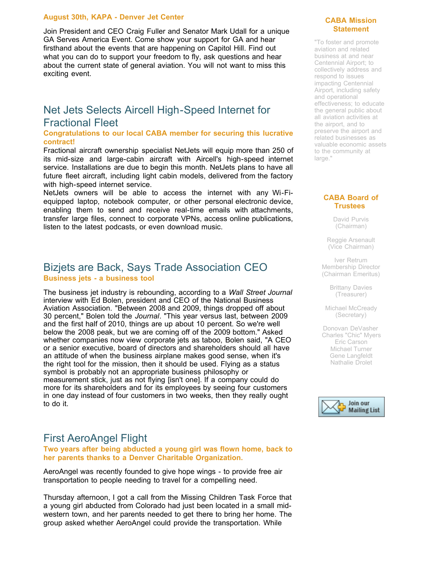#### **August 30th, KAPA - Denver Jet Center**

Join President and CEO Craig Fuller and Senator Mark Udall for a unique GA Serves America Event. Come show your support for GA and hear firsthand about the events that are happening on Capitol Hill. Find out what you can do to support your freedom to fly, ask questions and hear about the current state of general aviation. You will not want to miss this exciting event.

# Net Jets Selects Aircell High-Speed Internet for Fractional Fleet

### **Congratulations to our local CABA member for securing this lucrative contract!**

Fractional aircraft ownership specialist NetJets will equip more than 250 of its mid-size and large-cabin aircraft with Aircell's high-speed internet service. Installations are due to begin this month. NetJets plans to have all future fleet aircraft, including light cabin models, delivered from the factory with high-speed internet service.

NetJets owners will be able to access the internet with any Wi-Fiequipped laptop, notebook computer, or other personal electronic device, enabling them to send and receive real-time emails with attachments, transfer large files, connect to corporate VPNs, access online publications, listen to the latest podcasts, or even download music.

## Bizjets are Back, Says Trade Association CEO **Business jets - a business tool**

The business jet industry is rebounding, according to a *Wall Street Journal* [interview](http://r20.rs6.net/tn.jsp?llr=tkebgpcab&et=1103515475844&s=0&e=001Ynfa00Q4omqDSsfdz1XI8ac3OrhwyYZIgWHELXS6GchJeIWCLH9blB2vHf3v0AU3nwfCD_DPsoQwJAJoy3i_Nda7e05lCYGSRRytdaI3P70237zsYXaULIT4vWamZYj6uPhAAOwsU8O9_C5Rg8cGdvUhVyz0oCkz2_58wbSKTA2LVTa8CtTJb2R008NYJd7KpXPfViN_C0qqWGwjLP_VainL90s7UubY) with Ed Bolen, president and CEO of the National Business Aviation Association. "Between 2008 and 2009, things dropped off about 30 percent," Bolen told the *Journal*. "This year versus last, between 2009 and the first half of 2010, things are up about 10 percent. So we're well below the 2008 peak, but we are coming off of the 2009 bottom." Asked whether companies now view corporate jets as taboo, Bolen said, "A CEO or a senior executive, board of directors and shareholders should all have an attitude of when the business airplane makes good sense, when it's the right tool for the mission, then it should be used. Flying as a status symbol is probably not an appropriate business philosophy or measurement stick, just as not flying [isn't one]. If a company could do more for its shareholders and for its employees by seeing four customers in one day instead of four customers in two weeks, then they really ought to do it.

# First AeroAngel Flight

**Two years after being abducted a young girl was flown home, back to her parents thanks to a Denver Charitable Organization.**

AeroAngel was recently founded to give hope wings - to provide free air transportation to people needing to travel for a compelling need.

Thursday afternoon, I got a call from the Missing Children Task Force that a young girl abducted from Colorado had just been located in a small midwestern town, and her parents needed to get there to bring her home. The group asked whether AeroAngel could provide the transportation. While

### **CABA Mission Statement**

"To foster and promote aviation and related business at and near Centennial Airport; to collectively address and respond to issues impacting Centennial Airport, including safety and operational effectiveness; to educate the general public about all aviation activities at the airport, and to preserve the airport and related businesses as valuable economic assets to the community at large."

### **CABA Board of Trustees**

David Purvis (Chairman)

Reggie Arsenault (Vice Chairman)

Iver Retrum Membership Director (Chairman Emeritus)

> Brittany Davies (Treasurer)

Michael McCready (Secretary)

Donovan DeVasher Charles "Chic" Myers Eric Carson Michael Turner Gene Langfeldt Nathalie Drolet

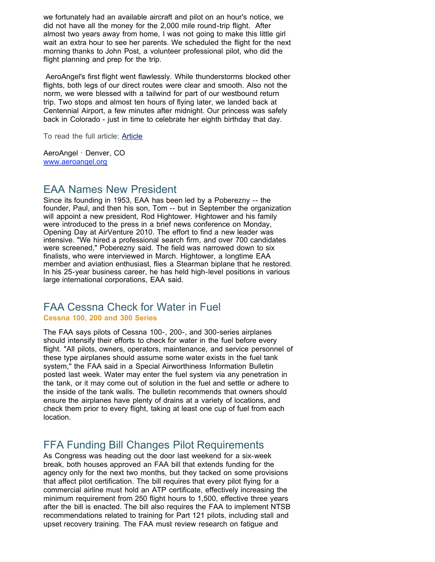we fortunately had an available aircraft and pilot on an hour's notice, we did not have all the money for the 2,000 mile round-trip flight. After almost two years away from home, I was not going to make this little girl wait an extra hour to see her parents. We scheduled the flight for the next morning thanks to John Post, a volunteer professional pilot, who did the flight planning and prep for the trip.

AeroAngel's first flight went flawlessly. While thunderstorms blocked other flights, both legs of our direct routes were clear and smooth. Also not the norm, we were blessed with a tailwind for part of our westbound return trip. Two stops and almost ten hours of flying later, we landed back at Centennial Airport, a few minutes after midnight. Our princess was safely back in Colorado - just in time to celebrate her eighth birthday that day.

To read the full article: [Article](http://r20.rs6.net/tn.jsp?llr=tkebgpcab&et=1103515475844&s=0&e=001Ynfa00Q4omqDSsfdz1XI8ac3OrhwyYZIgWHELXS6GchJeIWCLH9blB2vHf3v0AU3nwfCD_DPsoS_ffwnhs7SpwKYeyk7yDnds1Cf-191pytgFWXI1JWkFcGlvovc_yqpdomIOD427IJqd6mcx6ou_r121_uhCo-l)

AeroAngel · Denver, CO [www.aeroangel.org](http://r20.rs6.net/tn.jsp?llr=tkebgpcab&et=1103515475844&s=0&e=001Ynfa00Q4omqDSsfdz1XI8ac3OrhwyYZIgWHELXS6GchJeIWCLH9blB2vHf3v0AU3nwfCD_DPsoTv8IMBiUzOxZd376_DVCOfFqKEVN4cq-FMMTwqPl9iAg==)

## EAA Names New President

Since its founding in 1953, EAA has been led by a Poberezny -- the founder, Paul, and then his son, Tom -- but in September the organization will appoint a new president, Rod Hightower. Hightower and his family were introduced to the press in a brief news conference on Monday, Opening Day at AirVenture 2010. The effort to find a new leader was intensive. "We hired a professional search firm, and over 700 candidates were screened," Poberezny said. The field was narrowed down to six finalists, who were interviewed in March. Hightower, a longtime EAA member and aviation enthusiast, flies a Stearman biplane that he restored. In his 25-year business career, he has held high-level positions in various large international corporations, EAA said.

## FAA Cessna Check for Water in Fuel **Cessna 100, 200 and 300 Series**

The FAA says pilots of Cessna 100-, 200-, and 300-series airplanes should intensify their efforts to check for water in the fuel before every flight. "All pilots, owners, operators, maintenance, and service personnel of these type airplanes should assume some water exists in the fuel tank system," the FAA said in a Special Airworthiness Information Bulletin posted last week. Water may enter the fuel system via any penetration in the tank, or it may come out of solution in the fuel and settle or adhere to the inside of the tank walls. The bulletin recommends that owners should ensure the airplanes have plenty of drains at a variety of locations, and check them prior to every flight, taking at least one cup of fuel from each location.

# FFA Funding Bill Changes Pilot Requirements

As Congress was heading out the door last weekend for a six-week break, both houses approved an FAA bill that extends funding for the agency only for the next two months, but they tacked on some provisions that affect pilot certification. The bill requires that every pilot flying for a commercial airline must hold an ATP certificate, effectively increasing the minimum requirement from 250 flight hours to 1,500, effective three years after the bill is enacted. The bill also requires the FAA to implement NTSB recommendations related to training for Part 121 pilots, including stall and upset recovery training. The FAA must review research on fatigue and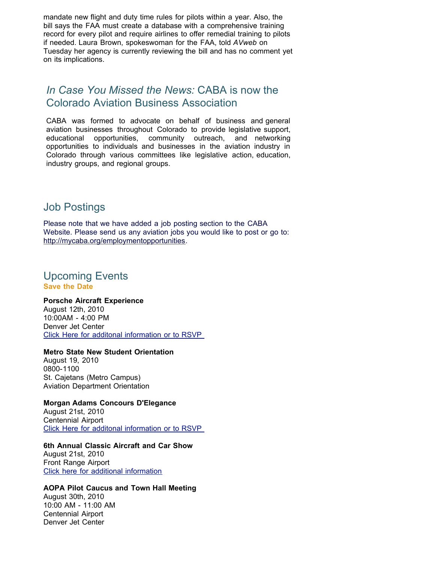mandate new flight and duty time rules for pilots within a year. Also, the bill says the FAA must create a database with a comprehensive training record for every pilot and require airlines to offer remedial training to pilots if needed. Laura Brown, spokeswoman for the FAA, told *AVweb* on Tuesday her agency is currently reviewing the bill and has no comment yet on its implications.

# *In Case You Missed the News:* CABA is now the Colorado Aviation Business Association

CABA was formed to advocate on behalf of business and general aviation businesses throughout Colorado to provide legislative support, educational opportunities, community outreach, and networking opportunities to individuals and businesses in the aviation industry in Colorado through various committees like legislative action, education, industry groups, and regional groups.

# Job Postings

Please note that we have added a job posting section to the CABA Website. Please send us any aviation jobs you would like to post or go to: [http://mycaba.org/employmentopportunities](http://r20.rs6.net/tn.jsp?llr=tkebgpcab&et=1103515475844&s=0&e=001Ynfa00Q4omqDSsfdz1XI8ac3OrhwyYZIgWHELXS6GchJeIWCLH9blB2vHf3v0AU3nwfCD_DPsoT2E4X1SLZ-XKSzq3O8296v0bODagbry-0Vm4E03bE3gw4rF4LyzQ91fL1xvxCB4N4=).

## Upcoming Events **Save the Date**

### **Porsche Aircraft Experience**

August 12th, 2010 10:00AM - 4:00 PM Denver Jet Center [Click Here for additonal information or to RSVP](http://r20.rs6.net/tn.jsp?llr=tkebgpcab&et=1103515475844&s=0&e=001Ynfa00Q4omqDSsfdz1XI8ac3OrhwyYZIgWHELXS6GchJeIWCLH9blB2vHf3v0AU3nwfCD_DPsoT2E4X1SLZ-XKSzq3O8296vCzH4dV_G4lzxe6tIzPWj3YsrWMHOs_9UEt96UmUesIHDjFsPOkeX_TKmREgJoKICZuMWBNEcF31Gv9EaC-VqfA==) 

## **Metro State New Student Orientation**

August 19, 2010 0800-1100 St. Cajetans (Metro Campus) Aviation Department Orientation

### **Morgan Adams Concours D'Elegance**

August 21st, 2010 Centennial Airport [Click Here for additonal information or to RSVP](http://r20.rs6.net/tn.jsp?llr=tkebgpcab&et=1103515475844&s=0&e=001Ynfa00Q4omqDSsfdz1XI8ac3OrhwyYZIgWHELXS6GchJeIWCLH9blB2vHf3v0AU3nwfCD_DPsoT2E4X1SLZ-XKSzq3O8296vCzH4dV_G4lzxe6tIzPWj3YsrWMHOs_9UUtwHgxEbPmQoyTt9A6Xnn9pizA_Gxw7_iisbvDaKdI1v-F04n52Ppw==) 

## **6th Annual Classic Aircraft and Car Show**

August 21st, 2010 Front Range Airport [Click here for additional information](http://r20.rs6.net/tn.jsp?llr=tkebgpcab&et=1103515475844&s=0&e=001Ynfa00Q4omqDSsfdz1XI8ac3OrhwyYZIgWHELXS6GchJeIWCLH9blB2vHf3v0AU3nwfCD_DPsoT2E4X1SLZ-XKSzq3O8296vCzH4dV_G4lzxe6tIzPWj3YsrWMHOs_9UK4Ia3p_lud0ZuTadxpU5vHroFKXyqbPMEsAsq6U5Rcmks48TcHu6eQ==)

### **AOPA Pilot Caucus and Town Hall Meeting**

August 30th, 2010 10:00 AM - 11:00 AM Centennial Airport Denver Jet Center